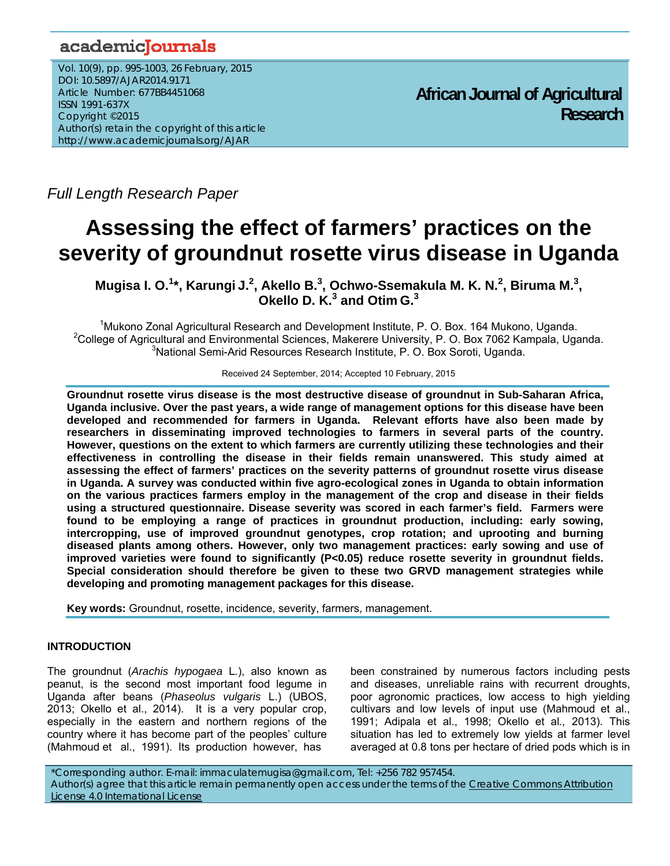## academicJournals

Vol. 10(9), pp. 995-1003, 26 February, 2015 DOI: 10.5897/AJAR2014.9171 Article Number: 677BB4451068 ISSN 1991-637X Copyright ©2015 Author(s) retain the copyright of this article http://www.academicjournals.org/AJAR

*Full Length Research Paper*

# **Assessing the effect of farmers' practices on the severity of groundnut rosette virus disease in Uganda**

**Mugisa I. O.<sup>1</sup> \*, Karungi J.<sup>2</sup> , Akello B.3 , Ochwo-Ssemakula M. K. N.<sup>2</sup> , Biruma M.3 , Okello D. K.<sup>3</sup> and Otim G.<sup>3</sup>**

<sup>1</sup> Mukono Zonal Agricultural Research and Development Institute, P. O. Box. 164 Mukono, Uganda.<br><sup>2</sup>Cellege of Agricultural and Environmental Sciences, Makerera University, B. O. Box.7063 Kempela, Uga  $^{2}$ College of Agricultural and Environmental Sciences, Makerere University, P. O. Box 7062 Kampala, Uganda. <sup>3</sup>National Semi-Arid Resources Research Institute, P. O. Box Soroti, Uganda.

Received 24 September, 2014; Accepted 10 February, 2015

**Groundnut rosette virus disease is the most destructive disease of groundnut in Sub-Saharan Africa, Uganda inclusive. Over the past years, a wide range of management options for this disease have been developed and recommended for farmers in Uganda. Relevant efforts have also been made by researchers in disseminating improved technologies to farmers in several parts of the country. However, questions on the extent to which farmers are currently utilizing these technologies and their effectiveness in controlling the disease in their fields remain unanswered. This study aimed at assessing the effect of farmers' practices on the severity patterns of groundnut rosette virus disease in Uganda. A survey was conducted within five agro-ecological zones in Uganda to obtain information on the various practices farmers employ in the management of the crop and disease in their fields using a structured questionnaire. Disease severity was scored in each farmer's field. Farmers were found to be employing a range of practices in groundnut production, including: early sowing, intercropping, use of improved groundnut genotypes, crop rotation; and uprooting and burning diseased plants among others. However, only two management practices: early sowing and use of improved varieties were found to significantly (P<0.05) reduce rosette severity in groundnut fields. Special consideration should therefore be given to these two GRVD management strategies while developing and promoting management packages for this disease.** 

**Key words:** Groundnut, rosette, incidence, severity, farmers, management.

### **INTRODUCTION**

The groundnut (*Arachis hypogaea* L*.*), also known as peanut, is the second most important food legume in Uganda after beans (*Phaseolus vulgaris* L.) (UBOS, 2013; Okello et al., 2014). It is a very popular crop, especially in the eastern and northern regions of the country where it has become part of the peoples' culture (Mahmoud et al., 1991). Its production however, has

been constrained by numerous factors including pests and diseases, unreliable rains with recurrent droughts, poor agronomic practices, low access to high yielding cultivars and low levels of input use (Mahmoud et al., 1991; Adipala et al., 1998; Okello et al*.,* 2013). This situation has led to extremely low yields at farmer level averaged at 0.8 tons per hectare of dried pods which is in

\*Corresponding author. E-mail: immaculatemugisa@gmail.com, Tel: +256 782 957454. Author(s) agree that this article remain permanently open access under the terms of the Creative Commons Attribution License 4.0 International License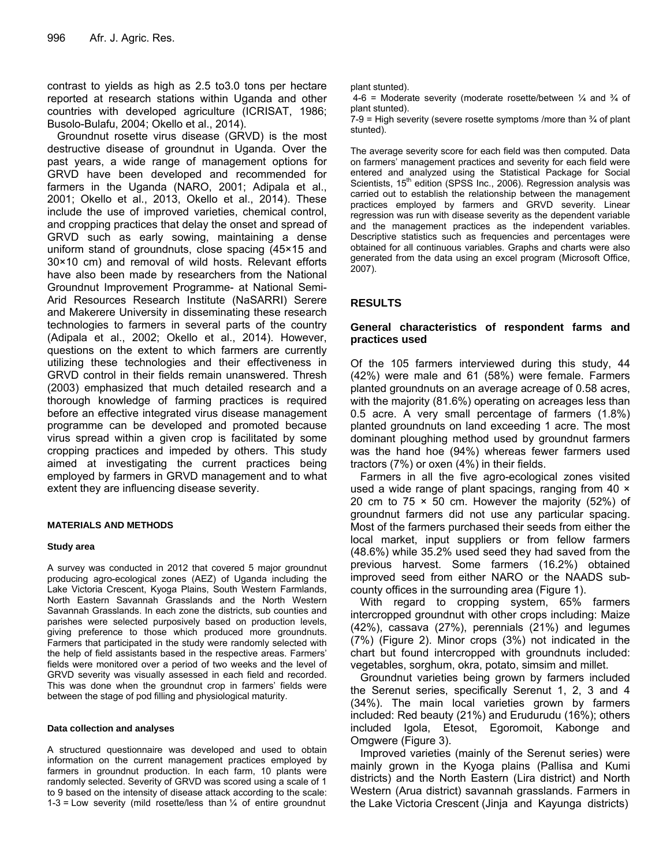contrast to yields as high as 2.5 to3.0 tons per hectare reported at research stations within Uganda and other countries with developed agriculture (ICRISAT, 1986; Busolo-Bulafu, 2004; Okello et al., 2014).

Groundnut rosette virus disease (GRVD) is the most destructive disease of groundnut in Uganda. Over the past years, a wide range of management options for GRVD have been developed and recommended for farmers in the Uganda (NARO, 2001; Adipala et al., 2001; Okello et al., 2013, Okello et al., 2014). These include the use of improved varieties, chemical control, and cropping practices that delay the onset and spread of GRVD such as early sowing, maintaining a dense uniform stand of groundnuts, close spacing (45×15 and 30×10 cm) and removal of wild hosts. Relevant efforts have also been made by researchers from the National Groundnut Improvement Programme- at National Semi-Arid Resources Research Institute (NaSARRI) Serere and Makerere University in disseminating these research technologies to farmers in several parts of the country (Adipala et al., 2002; Okello et al., 2014). However, questions on the extent to which farmers are currently utilizing these technologies and their effectiveness in GRVD control in their fields remain unanswered. Thresh (2003) emphasized that much detailed research and a thorough knowledge of farming practices is required before an effective integrated virus disease management programme can be developed and promoted because virus spread within a given crop is facilitated by some cropping practices and impeded by others. This study aimed at investigating the current practices being employed by farmers in GRVD management and to what extent they are influencing disease severity.

#### **MATERIALS AND METHODS**

#### **Study area**

A survey was conducted in 2012 that covered 5 major groundnut producing agro-ecological zones (AEZ) of Uganda including the Lake Victoria Crescent, Kyoga Plains, South Western Farmlands, North Eastern Savannah Grasslands and the North Western Savannah Grasslands. In each zone the districts, sub counties and parishes were selected purposively based on production levels, giving preference to those which produced more groundnuts. Farmers that participated in the study were randomly selected with the help of field assistants based in the respective areas. Farmers' fields were monitored over a period of two weeks and the level of GRVD severity was visually assessed in each field and recorded. This was done when the groundnut crop in farmers' fields were between the stage of pod filling and physiological maturity.

#### **Data collection and analyses**

A structured questionnaire was developed and used to obtain information on the current management practices employed by farmers in groundnut production. In each farm, 10 plants were randomly selected. Severity of GRVD was scored using a scale of 1 to 9 based on the intensity of disease attack according to the scale: 1-3 = Low severity (mild rosette/less than  $\frac{1}{4}$  of entire groundnut plant stunted).

4-6 = Moderate severity (moderate rosette/between  $\frac{1}{4}$  and  $\frac{3}{4}$  of plant stunted).

 $7-9$  = High severity (severe rosette symptoms /more than  $\frac{3}{4}$  of plant stunted).

The average severity score for each field was then computed. Data on farmers' management practices and severity for each field were entered and analyzed using the Statistical Package for Social Scientists, 15<sup>th</sup> edition (SPSS Inc., 2006). Regression analysis was carried out to establish the relationship between the management practices employed by farmers and GRVD severity. Linear regression was run with disease severity as the dependent variable and the management practices as the independent variables. Descriptive statistics such as frequencies and percentages were obtained for all continuous variables. Graphs and charts were also generated from the data using an excel program (Microsoft Office, 2007).

#### **RESULTS**

#### **General characteristics of respondent farms and practices used**

Of the 105 farmers interviewed during this study, 44 (42%) were male and 61 (58%) were female. Farmers planted groundnuts on an average acreage of 0.58 acres, with the majority (81.6%) operating on acreages less than 0.5 acre. A very small percentage of farmers (1.8%) planted groundnuts on land exceeding 1 acre. The most dominant ploughing method used by groundnut farmers was the hand hoe (94%) whereas fewer farmers used tractors (7%) or oxen (4%) in their fields.

Farmers in all the five agro-ecological zones visited used a wide range of plant spacings, ranging from 40 × 20 cm to 75  $\times$  50 cm. However the majority (52%) of groundnut farmers did not use any particular spacing. Most of the farmers purchased their seeds from either the local market, input suppliers or from fellow farmers (48.6%) while 35.2% used seed they had saved from the previous harvest. Some farmers (16.2%) obtained improved seed from either NARO or the NAADS subcounty offices in the surrounding area (Figure 1).

With regard to cropping system, 65% farmers intercropped groundnut with other crops including: Maize (42%), cassava (27%), perennials (21%) and legumes (7%) (Figure 2). Minor crops (3%) not indicated in the chart but found intercropped with groundnuts included: vegetables, sorghum, okra, potato, simsim and millet.

Groundnut varieties being grown by farmers included the Serenut series, specifically Serenut 1, 2, 3 and 4 (34%). The main local varieties grown by farmers included: Red beauty (21%) and Erudurudu (16%); others included Igola, Etesot, Egoromoit, Kabonge and Omgwere (Figure 3).

Improved varieties (mainly of the Serenut series) were mainly grown in the Kyoga plains (Pallisa and Kumi districts) and the North Eastern (Lira district) and North Western (Arua district) savannah grasslands. Farmers in the Lake Victoria Crescent (Jinja and Kayunga districts)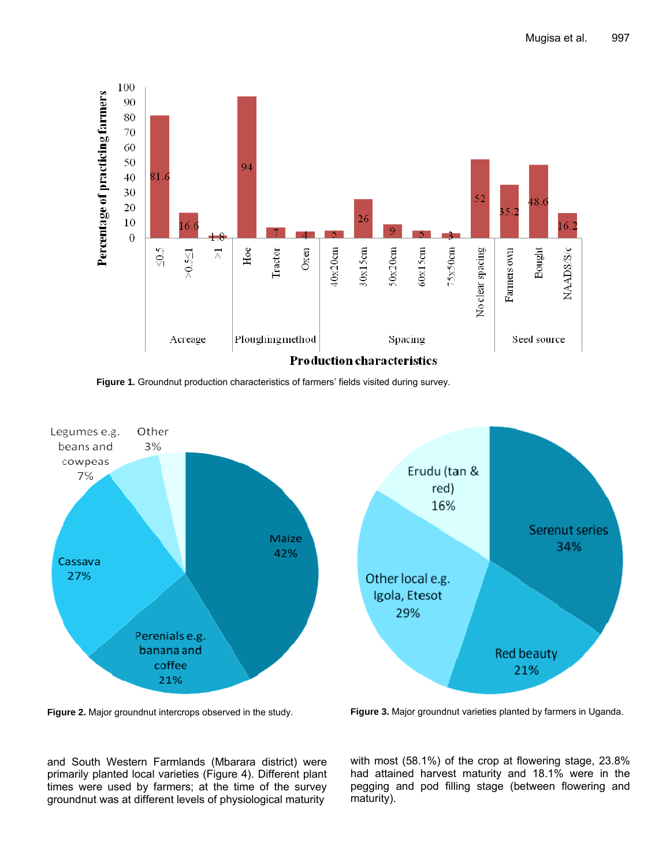

**Figure 1.** Groundnut production characteristics of farmers' fields visited during survey.



**Figure 2.** Major groundnut intercrops observed in the study.

**Figure 3.** Major groundnut varieties planted by farmers in Uganda.

and South Western Farmlands (Mbarara district) were primarily planted local varieties (Figure 4). Different plant times were used by farmers; at the time of the survey groundnut was at different levels of physiological maturity

with most (58.1%) of the crop at flowering stage, 23.8% had attained harvest maturity and 18.1% were in the pegging and pod filling stage (between flowering and maturity).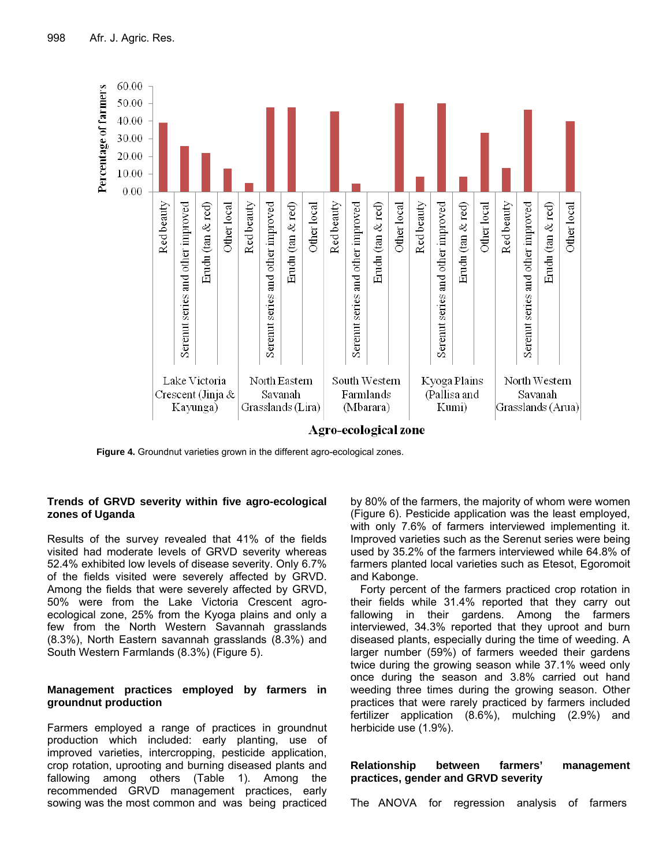

**Figure 4.** Groundnut varieties grown in the different agro-ecological zones.

#### **Trends of GRVD severity within five agro-ecological zones of Uganda**

Results of the survey revealed that 41% of the fields visited had moderate levels of GRVD severity whereas 52.4% exhibited low levels of disease severity. Only 6.7% of the fields visited were severely affected by GRVD. Among the fields that were severely affected by GRVD, 50% were from the Lake Victoria Crescent agroecological zone, 25% from the Kyoga plains and only a few from the North Western Savannah grasslands (8.3%), North Eastern savannah grasslands (8.3%) and South Western Farmlands (8.3%) (Figure 5).

#### **Management practices employed by farmers in groundnut production**

Farmers employed a range of practices in groundnut production which included: early planting, use of improved varieties, intercropping, pesticide application, crop rotation, uprooting and burning diseased plants and fallowing among others (Table 1). Among the recommended GRVD management practices, early sowing was the most common and was being practiced by 80% of the farmers, the majority of whom were women (Figure 6). Pesticide application was the least employed, with only 7.6% of farmers interviewed implementing it. Improved varieties such as the Serenut series were being used by 35.2% of the farmers interviewed while 64.8% of farmers planted local varieties such as Etesot, Egoromoit and Kabonge.

Forty percent of the farmers practiced crop rotation in their fields while 31.4% reported that they carry out fallowing in their gardens. Among the farmers interviewed, 34.3% reported that they uproot and burn diseased plants, especially during the time of weeding. A larger number (59%) of farmers weeded their gardens twice during the growing season while 37.1% weed only once during the season and 3.8% carried out hand weeding three times during the growing season. Other practices that were rarely practiced by farmers included fertilizer application (8.6%), mulching (2.9%) and herbicide use (1.9%).

#### **Relationship between farmers' management practices, gender and GRVD severity**

The ANOVA for regression analysis of farmers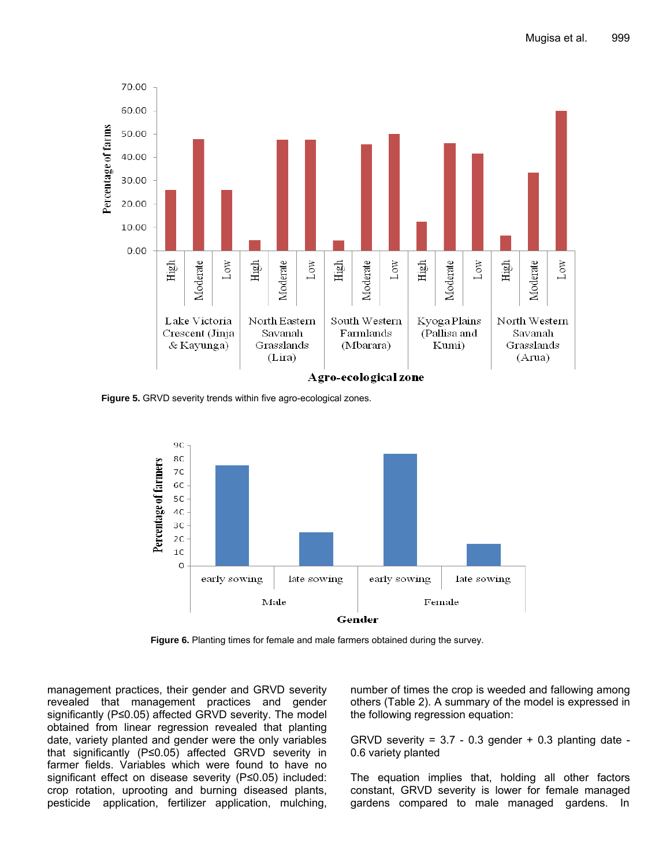

**Figure 5.** GRVD severity trends within five agro-ecological zones.



**Figure 6.** Planting times for female and male farmers obtained during the survey.

management practices, their gender and GRVD severity revealed that management practices and gender significantly (P≤0.05) affected GRVD severity. The model obtained from linear regression revealed that planting date, variety planted and gender were the only variables that significantly (P≤0.05) affected GRVD severity in farmer fields. Variables which were found to have no significant effect on disease severity (P≤0.05) included: crop rotation, uprooting and burning diseased plants, pesticide application, fertilizer application, mulching, number of times the crop is weeded and fallowing among others (Table 2). A summary of the model is expressed in the following regression equation:

GRVD severity =  $3.7 - 0.3$  gender + 0.3 planting date -0.6 variety planted

The equation implies that, holding all other factors constant, GRVD severity is lower for female managed gardens compared to male managed gardens. In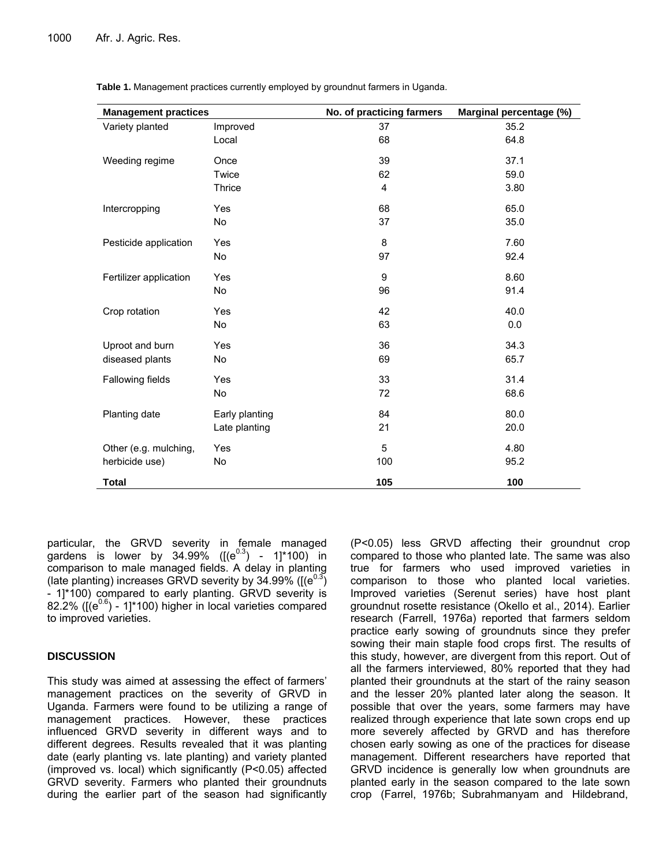| <b>Management practices</b> |                | No. of practicing farmers | Marginal percentage (%) |  |
|-----------------------------|----------------|---------------------------|-------------------------|--|
| Variety planted             | Improved       | 37                        | 35.2                    |  |
|                             | Local          | 68                        | 64.8                    |  |
| Weeding regime              | Once           | 39                        | 37.1                    |  |
|                             | Twice          | 62                        | 59.0                    |  |
|                             | Thrice         | 4                         | 3.80                    |  |
| Intercropping               | Yes            | 68                        | 65.0                    |  |
|                             | No             | 37                        | 35.0                    |  |
| Pesticide application       | Yes            | 8                         | 7.60                    |  |
|                             | No             | 97                        | 92.4                    |  |
| Fertilizer application      | Yes            | 9                         | 8.60                    |  |
|                             | No             | 96                        | 91.4                    |  |
| Crop rotation               | Yes            | 42                        | 40.0                    |  |
|                             | No             | 63                        | 0.0                     |  |
| Uproot and burn             | Yes            | 36                        | 34.3                    |  |
| diseased plants             | No             | 69                        | 65.7                    |  |
| Fallowing fields            | Yes            | 33                        | 31.4                    |  |
|                             | No             | 72                        | 68.6                    |  |
| Planting date               | Early planting | 84                        | 80.0                    |  |
|                             | Late planting  | 21                        | 20.0                    |  |
| Other (e.g. mulching,       | Yes            | 5                         | 4.80                    |  |
| herbicide use)              | No             | 100                       | 95.2                    |  |
| <b>Total</b>                |                | 105                       | 100                     |  |

**Table 1.** Management practices currently employed by groundnut farmers in Uganda.

particular, the GRVD severity in female managed gardens is lower by 34.99% ( $[(e^{0.3}) - 1]^*100]$  in comparison to male managed fields. A delay in planting (late planting) increases GRVD severity by 34.99% ( $[(e^{0.3})]$ - 1]\*100) compared to early planting. GRVD severity is 82.2% ( $[(e^{0.6}) - 1]^*$ 100) higher in local varieties compared to improved varieties.

#### **DISCUSSION**

This study was aimed at assessing the effect of farmers' management practices on the severity of GRVD in Uganda. Farmers were found to be utilizing a range of management practices. However, these practices influenced GRVD severity in different ways and to different degrees. Results revealed that it was planting date (early planting vs. late planting) and variety planted (improved vs. local) which significantly (P<0.05) affected GRVD severity. Farmers who planted their groundnuts during the earlier part of the season had significantly

(P<0.05) less GRVD affecting their groundnut crop compared to those who planted late. The same was also true for farmers who used improved varieties in comparison to those who planted local varieties. Improved varieties (Serenut series) have host plant groundnut rosette resistance (Okello et al., 2014). Earlier research (Farrell, 1976a) reported that farmers seldom practice early sowing of groundnuts since they prefer sowing their main staple food crops first. The results of this study, however, are divergent from this report. Out of all the farmers interviewed, 80% reported that they had planted their groundnuts at the start of the rainy season and the lesser 20% planted later along the season. It possible that over the years, some farmers may have realized through experience that late sown crops end up more severely affected by GRVD and has therefore chosen early sowing as one of the practices for disease management. Different researchers have reported that GRVD incidence is generally low when groundnuts are planted early in the season compared to the late sown crop (Farrel, 1976b; Subrahmanyam and Hildebrand,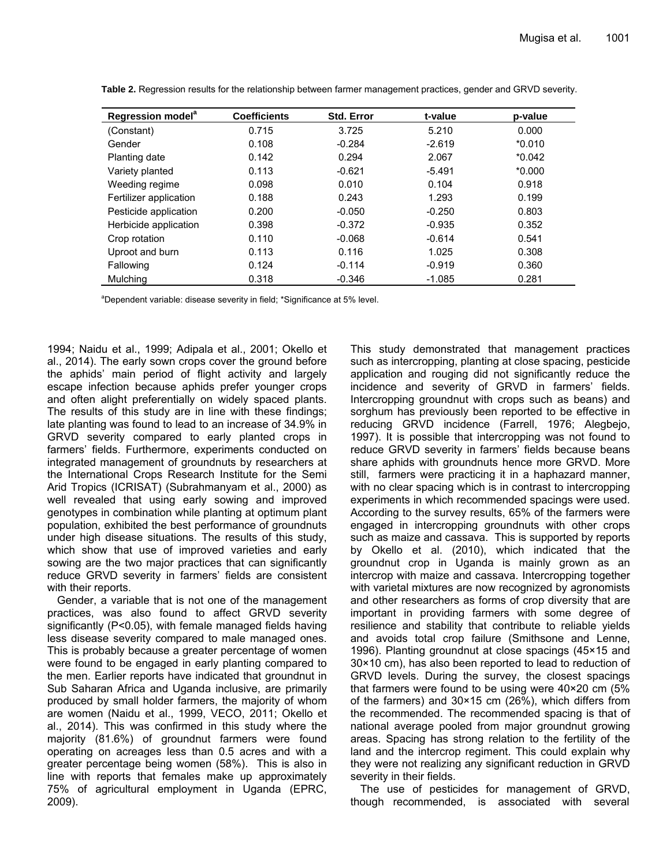| Regression model <sup>a</sup> | <b>Coefficients</b> | <b>Std. Error</b> | t-value  | p-value  |
|-------------------------------|---------------------|-------------------|----------|----------|
| (Constant)                    | 0.715               | 3.725             | 5.210    | 0.000    |
| Gender                        | 0.108               | $-0.284$          | $-2.619$ | $*0.010$ |
| Planting date                 | 0.142               | 0.294             | 2.067    | $*0.042$ |
| Variety planted               | 0.113               | $-0.621$          | $-5.491$ | $*0.000$ |
| Weeding regime                | 0.098               | 0.010             | 0.104    | 0.918    |
| Fertilizer application        | 0.188               | 0.243             | 1.293    | 0.199    |
| Pesticide application         | 0.200               | $-0.050$          | $-0.250$ | 0.803    |
| Herbicide application         | 0.398               | $-0.372$          | $-0.935$ | 0.352    |
| Crop rotation                 | 0.110               | $-0.068$          | $-0.614$ | 0.541    |
| Uproot and burn               | 0.113               | 0.116             | 1.025    | 0.308    |
| Fallowing                     | 0.124               | $-0.114$          | $-0.919$ | 0.360    |
| Mulching                      | 0.318               | $-0.346$          | $-1.085$ | 0.281    |

**Table 2.** Regression results for the relationship between farmer management practices, gender and GRVD severity.

<sup>a</sup>Dependent variable: disease severity in field; \*Significance at 5% level.

1994; Naidu et al., 1999; Adipala et al., 2001; Okello et al., 2014). The early sown crops cover the ground before the aphids' main period of flight activity and largely escape infection because aphids prefer younger crops and often alight preferentially on widely spaced plants. The results of this study are in line with these findings; late planting was found to lead to an increase of 34.9% in GRVD severity compared to early planted crops in farmers' fields. Furthermore, experiments conducted on integrated management of groundnuts by researchers at the International Crops Research Institute for the Semi Arid Tropics (ICRISAT) (Subrahmanyam et al., 2000) as well revealed that using early sowing and improved genotypes in combination while planting at optimum plant population, exhibited the best performance of groundnuts under high disease situations. The results of this study, which show that use of improved varieties and early sowing are the two major practices that can significantly reduce GRVD severity in farmers' fields are consistent with their reports.

Gender, a variable that is not one of the management practices, was also found to affect GRVD severity significantly (P<0.05), with female managed fields having less disease severity compared to male managed ones. This is probably because a greater percentage of women were found to be engaged in early planting compared to the men. Earlier reports have indicated that groundnut in Sub Saharan Africa and Uganda inclusive, are primarily produced by small holder farmers, the majority of whom are women (Naidu et al., 1999, VECO, 2011; Okello et al., 2014). This was confirmed in this study where the majority (81.6%) of groundnut farmers were found operating on acreages less than 0.5 acres and with a greater percentage being women (58%). This is also in line with reports that females make up approximately 75% of agricultural employment in Uganda (EPRC, 2009).

This study demonstrated that management practices such as intercropping, planting at close spacing, pesticide application and rouging did not significantly reduce the incidence and severity of GRVD in farmers' fields. Intercropping groundnut with crops such as beans) and sorghum has previously been reported to be effective in reducing GRVD incidence (Farrell, 1976; Alegbejo, 1997). It is possible that intercropping was not found to reduce GRVD severity in farmers' fields because beans share aphids with groundnuts hence more GRVD. More still, farmers were practicing it in a haphazard manner, with no clear spacing which is in contrast to intercropping experiments in which recommended spacings were used. According to the survey results, 65% of the farmers were engaged in intercropping groundnuts with other crops such as maize and cassava. This is supported by reports by Okello et al. (2010), which indicated that the groundnut crop in Uganda is mainly grown as an intercrop with maize and cassava. Intercropping together with varietal mixtures are now recognized by agronomists and other researchers as forms of crop diversity that are important in providing farmers with some degree of resilience and stability that contribute to reliable yields and avoids total crop failure (Smithsone and Lenne, 1996). Planting groundnut at close spacings (45×15 and 30×10 cm), has also been reported to lead to reduction of GRVD levels. During the survey, the closest spacings that farmers were found to be using were 40×20 cm (5% of the farmers) and  $30 \times 15$  cm (26%), which differs from the recommended. The recommended spacing is that of national average pooled from major groundnut growing areas. Spacing has strong relation to the fertility of the land and the intercrop regiment. This could explain why they were not realizing any significant reduction in GRVD severity in their fields.

The use of pesticides for management of GRVD, though recommended, is associated with several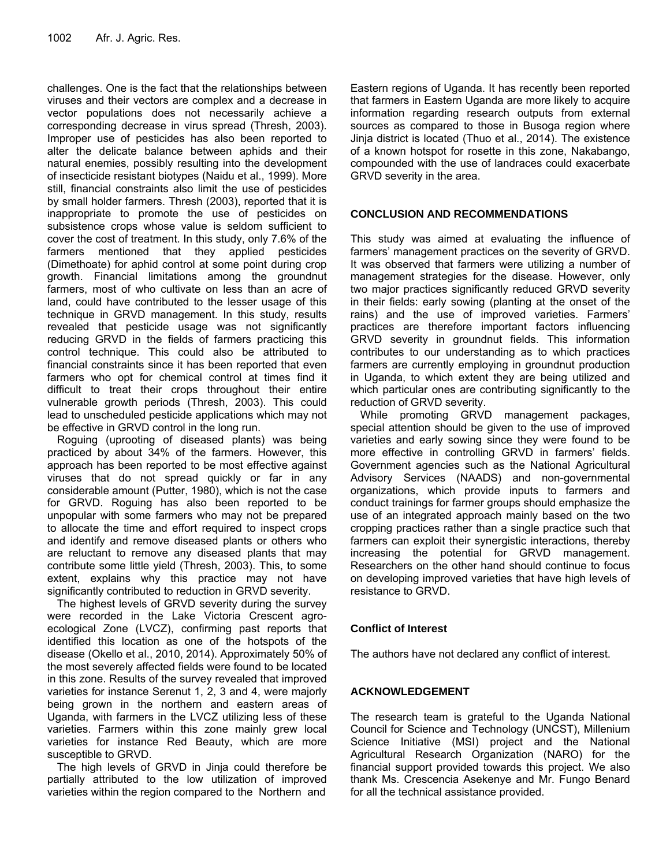challenges. One is the fact that the relationships between viruses and their vectors are complex and a decrease in vector populations does not necessarily achieve a corresponding decrease in virus spread (Thresh, 2003). Improper use of pesticides has also been reported to alter the delicate balance between aphids and their natural enemies, possibly resulting into the development of insecticide resistant biotypes (Naidu et al., 1999). More still, financial constraints also limit the use of pesticides by small holder farmers. Thresh (2003), reported that it is inappropriate to promote the use of pesticides on subsistence crops whose value is seldom sufficient to cover the cost of treatment. In this study, only 7.6% of the farmers mentioned that they applied pesticides (Dimethoate) for aphid control at some point during crop growth. Financial limitations among the groundnut farmers, most of who cultivate on less than an acre of land, could have contributed to the lesser usage of this technique in GRVD management. In this study, results revealed that pesticide usage was not significantly reducing GRVD in the fields of farmers practicing this control technique. This could also be attributed to financial constraints since it has been reported that even farmers who opt for chemical control at times find it difficult to treat their crops throughout their entire vulnerable growth periods (Thresh, 2003). This could lead to unscheduled pesticide applications which may not be effective in GRVD control in the long run.

Roguing (uprooting of diseased plants) was being practiced by about 34% of the farmers. However, this approach has been reported to be most effective against viruses that do not spread quickly or far in any considerable amount (Putter, 1980), which is not the case for GRVD. Roguing has also been reported to be unpopular with some farmers who may not be prepared to allocate the time and effort required to inspect crops and identify and remove diseased plants or others who are reluctant to remove any diseased plants that may contribute some little yield (Thresh, 2003). This, to some extent, explains why this practice may not have significantly contributed to reduction in GRVD severity.

The highest levels of GRVD severity during the survey were recorded in the Lake Victoria Crescent agroecological Zone (LVCZ), confirming past reports that identified this location as one of the hotspots of the disease (Okello et al., 2010, 2014). Approximately 50% of the most severely affected fields were found to be located in this zone. Results of the survey revealed that improved varieties for instance Serenut 1, 2, 3 and 4, were majorly being grown in the northern and eastern areas of Uganda, with farmers in the LVCZ utilizing less of these varieties. Farmers within this zone mainly grew local varieties for instance Red Beauty, which are more susceptible to GRVD.

The high levels of GRVD in Jinja could therefore be partially attributed to the low utilization of improved varieties within the region compared to the Northern and

Eastern regions of Uganda. It has recently been reported that farmers in Eastern Uganda are more likely to acquire information regarding research outputs from external sources as compared to those in Busoga region where Jinja district is located (Thuo et al., 2014). The existence of a known hotspot for rosette in this zone, Nakabango, compounded with the use of landraces could exacerbate GRVD severity in the area.

### **CONCLUSION AND RECOMMENDATIONS**

This study was aimed at evaluating the influence of farmers' management practices on the severity of GRVD. It was observed that farmers were utilizing a number of management strategies for the disease. However, only two major practices significantly reduced GRVD severity in their fields: early sowing (planting at the onset of the rains) and the use of improved varieties. Farmers' practices are therefore important factors influencing GRVD severity in groundnut fields. This information contributes to our understanding as to which practices farmers are currently employing in groundnut production in Uganda, to which extent they are being utilized and which particular ones are contributing significantly to the reduction of GRVD severity.

While promoting GRVD management packages, special attention should be given to the use of improved varieties and early sowing since they were found to be more effective in controlling GRVD in farmers' fields. Government agencies such as the National Agricultural Advisory Services (NAADS) and non-governmental organizations, which provide inputs to farmers and conduct trainings for farmer groups should emphasize the use of an integrated approach mainly based on the two cropping practices rather than a single practice such that farmers can exploit their synergistic interactions, thereby increasing the potential for GRVD management. Researchers on the other hand should continue to focus on developing improved varieties that have high levels of resistance to GRVD.

### **Conflict of Interest**

The authors have not declared any conflict of interest.

### **ACKNOWLEDGEMENT**

The research team is grateful to the Uganda National Council for Science and Technology (UNCST), Millenium Science Initiative (MSI) project and the National Agricultural Research Organization (NARO) for the financial support provided towards this project. We also thank Ms. Crescencia Asekenye and Mr. Fungo Benard for all the technical assistance provided.